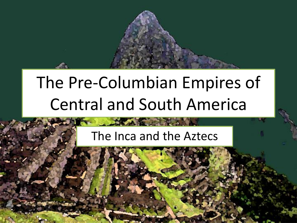

# The Pre-Columbian Empires of Central and South America

#### The Inca and the Aztecs

**DEALERS**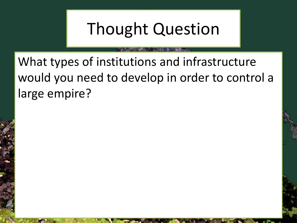## Thought Question

What types of institutions and infrastructure would you need to develop in order to control a large empire?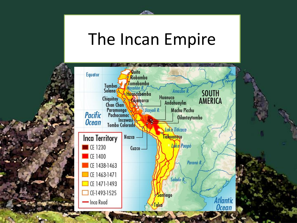#### The Incan Empire

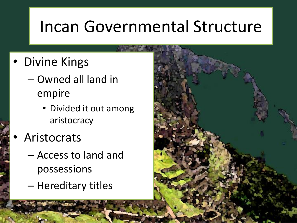#### Incan Governmental Structure

- **Divine Kings** 
	- Owned all land in empire
		- Divided it out among aristocracy
- **Aristocrats** 
	- Access to land and possessions
	- Hereditary titles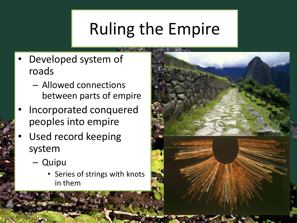## Ruling the Empire

- Developed system of roads
	- Allowed connections between parts of empire
- Incorporated conquered peoples into empire
- Used record keeping system
	- Quipu
		- Series of strings with knots in them

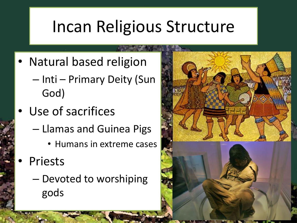## Incan Religious Structure

- Natural based religion
	- Inti Primary Deity (Sun God)
- Use of sacrifices
	- Llamas and Guinea Pigs
		- Humans in extreme cases
- **Priests** 
	- Devoted to worshiping gods

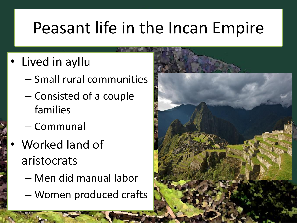## Peasant life in the Incan Empire

- Lived in ayllu
	- Small rural communities
	- Consisted of a couple families
	- Communal
	- Worked land of aristocrats
		- Men did manual labor
		- Women produced crafts

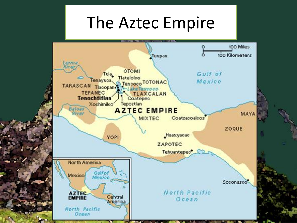#### The Aztec Empire

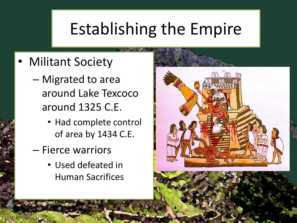## Establishing the Empire

- Militant Society
	- Migrated to area around Lake Texcoco around 1325 C.E.
		- Had complete control of area by 1434 C.E.
	- Fierce warriors
		- Used defeated in Human Sacrifices

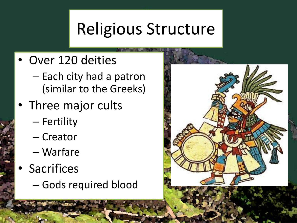## Religious Structure

- Over 120 deities
	- Each city had a patron (similar to the Greeks)
- Three major cults
	- Fertility
	- Creator
	- Warfare
- Sacrifices
	- Gods required blood

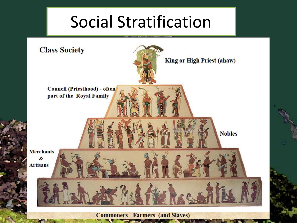## Social Stratification

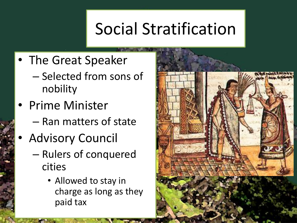## Social Stratification

- The Great Speaker
	- Selected from sons of nobility
- Prime Minister
	- Ran matters of state
- Advisory Council
	- Rulers of conquered cities
		- Allowed to stay in charge as long as they paid tax